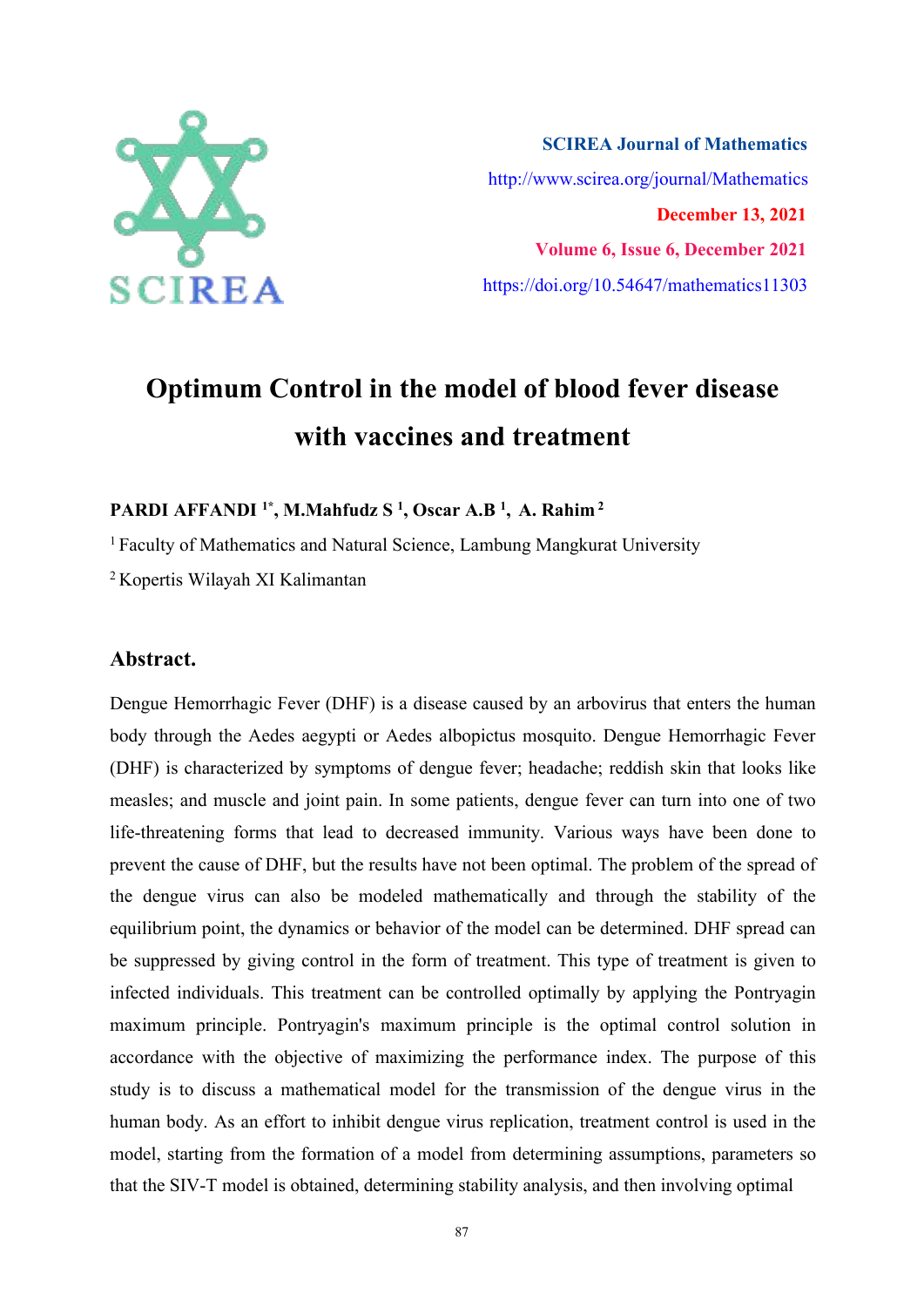

**SCIREA Journal of Mathematics** http://www.scirea.org/journal/Mathematics **December 13, 2021 Volume 6, Issue 6, December 2021** https://doi.org/10.54647/mathematics11303

# **Optimum Control in the model of blood fever disease with vaccines and treatment**

**PARDI AFFANDI 1\* , M.Mahfudz S 1 , Oscar A.B <sup>1</sup> , A. Rahim <sup>2</sup>**

<sup>1</sup> Faculty of Mathematics and Natural Science, Lambung Mangkurat University

<sup>2</sup> Kopertis Wilayah XI Kalimantan

# **Abstract.**

Dengue Hemorrhagic Fever (DHF) is a disease caused by an arbovirus that enters the human body through the Aedes aegypti or Aedes albopictus mosquito. Dengue Hemorrhagic Fever (DHF) is characterized by symptoms of dengue fever; headache; reddish skin that looks like measles; and muscle and joint pain. In some patients, dengue fever can turn into one of two life-threatening forms that lead to decreased immunity. Various ways have been done to prevent the cause of DHF, but the results have not been optimal. The problem of the spread of the dengue virus can also be modeled mathematically and through the stability of the equilibrium point, the dynamics or behavior of the model can be determined. DHF spread can be suppressed by giving control in the form of treatment. This type of treatment is given to infected individuals. This treatment can be controlled optimally by applying the Pontryagin maximum principle. Pontryagin's maximum principle is the optimal control solution in accordance with the objective of maximizing the performance index. The purpose of this study is to discuss a mathematical model for the transmission of the dengue virus in the human body. As an effort to inhibit dengue virus replication, treatment control is used in the model, starting from the formation of a model from determining assumptions, parameters so that the SIV-T model is obtained, determining stability analysis, and then involving optimal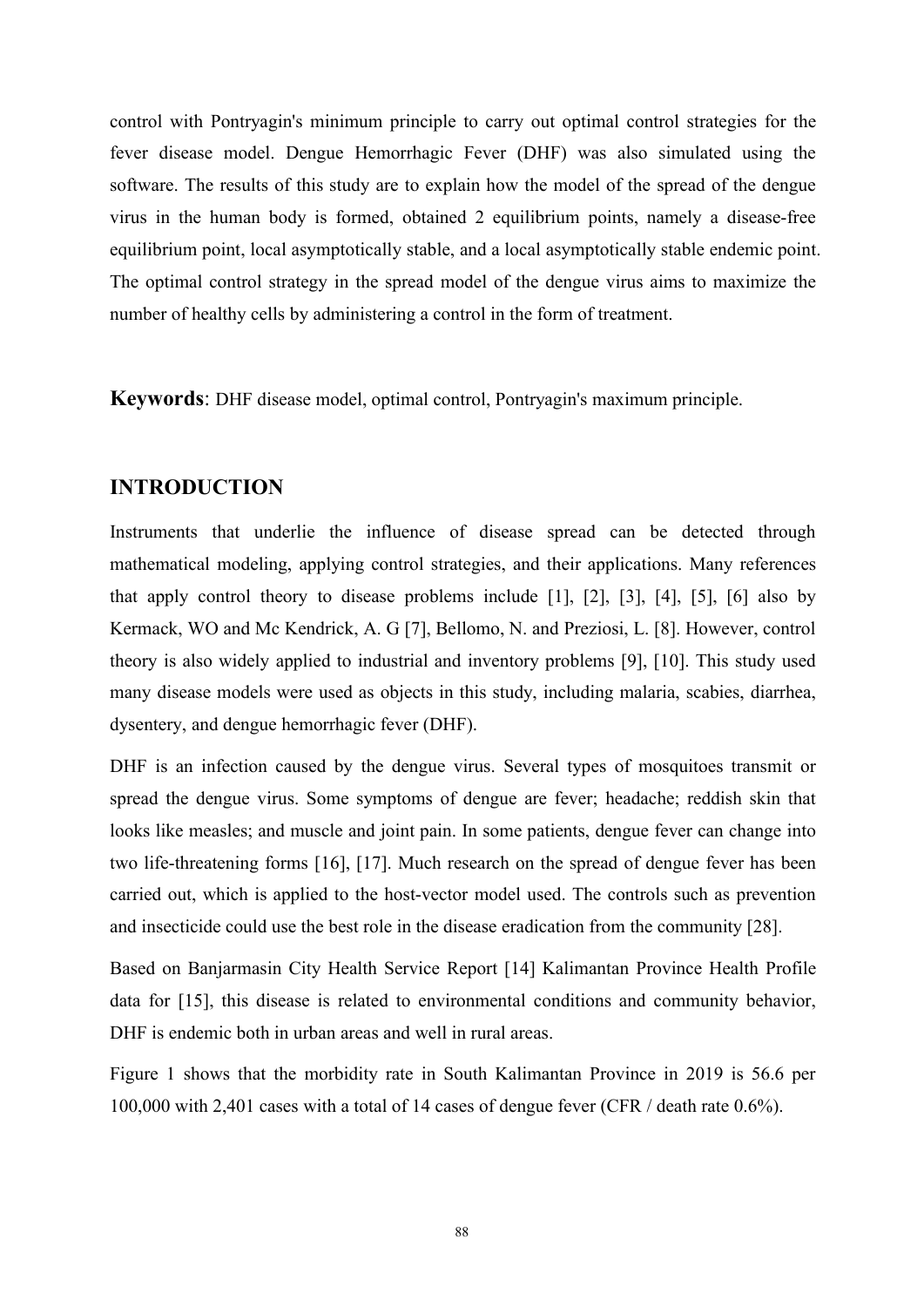control with Pontryagin's minimum principle to carry out optimal control strategies for the fever disease model. Dengue Hemorrhagic Fever (DHF) was also simulated using the software. The results of this study are to explain how the model of the spread of the dengue virus in the human body is formed, obtained 2 equilibrium points, namely a disease-free equilibrium point, local asymptotically stable, and a local asymptotically stable endemic point. The optimal control strategy in the spread model of the dengue virus aims to maximize the number of healthy cells by administering a control in the form of treatment.

**Keywords**: DHF disease model, optimal control, Pontryagin's maximum principle.

# **INTRODUCTION**

Instruments that underlie the influence of disease spread can be detected through mathematical modeling, applying control strategies, and their applications. Many references that apply control theory to disease problems include [1], [2], [3], [4], [5], [6] also by Kermack, WO and Mc Kendrick, A. G [7], Bellomo, N. and Preziosi, L. [8]. However, control theory is also widely applied to industrial and inventory problems [9], [10]. This study used many disease models were used as objects in this study, including malaria, scabies, diarrhea, dysentery, and dengue hemorrhagic fever (DHF).

DHF is an infection caused by the dengue virus. Several types of mosquitoes transmit or spread the dengue virus. Some symptoms of dengue are fever; headache; reddish skin that looks like measles; and muscle and joint pain. In some patients, dengue fever can change into two life-threatening forms [16], [17]. Much research on the spread of dengue fever has been carried out, which is applied to the host-vector model used. The controls such as prevention and insecticide could use the best role in the disease eradication from the community [28].

Based on Banjarmasin City Health Service Report[14] Kalimantan Province Health Profile data for  $[15]$ , this disease is related to environmental conditions and community behavior, DHF is endemic both in urban areas and well in rural areas.<br>Figure 1 shows that the morbidity rate in South Kalimantan Province in 2019 is 56.6 per

100,000 with 2,401 cases with a total of 14 cases of dengue fever (CFR / death rate 0.6%).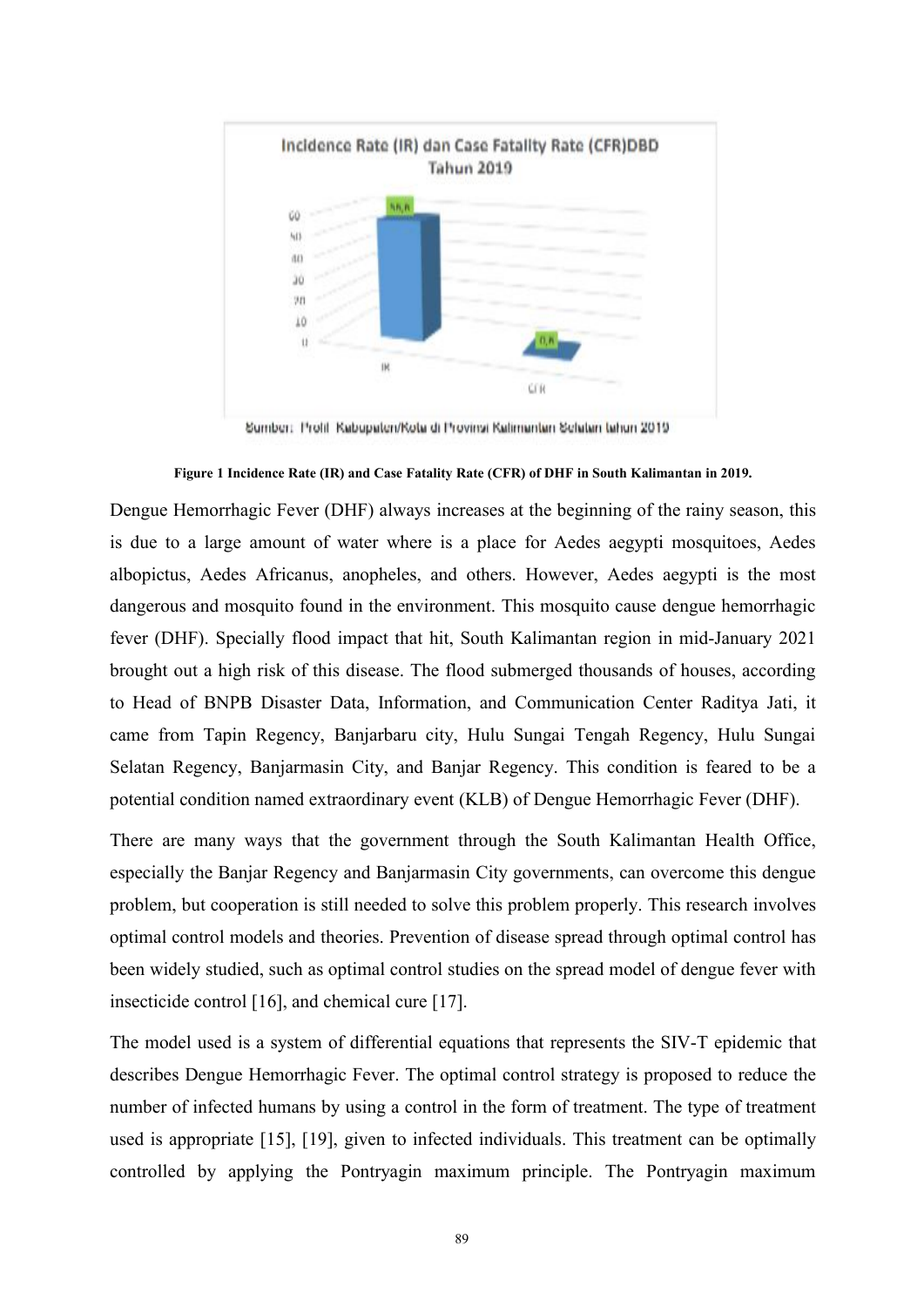

Sumber: Profil: Kabupaten/Kota di Provinsi Kalimantan Selatan tahun 2019

**Figure 1 Incidence Rate (IR)and Case Fatality Rate (CFR) of DHF in South Kalimantan in 2019.**

Dengue Hemorrhagic Fever (DHF) always increases at the beginning of the rainy season, this is due to a large amount of water where is a place for Aedes aegypti mosquitoes, Aedes albopictus, Aedes Africanus, anopheles, and others. However, Aedes aegypti is the most dangerous and mosquito found in the environment. This mosquito cause dengue hemorrhagic fever (DHF). Specially flood impact that hit, South Kalimantan region in mid-January 2021 brought out a high risk of this disease. The flood submerged thousands of houses, according to Head of BNPB Disaster Data, Information, and Communication Center Raditya Jati, it came from Tapin Regency, Banjarbaru city, Hulu Sungai Tengah Regency, Hulu Sungai Selatan Regency, Banjarmasin City, and Banjar Regency. This condition is feared to be a potential condition named extraordinary event (KLB) of Dengue Hemorrhagic Fever (DHF).

There are many ways that the government through the South Kalimantan Health Office, especially the Banjar Regency and Banjarmasin City governments, can overcome this dengue problem, but cooperation is still needed to solve this problem properly. This research involves optimal control models and theories. Prevention of disease spread through optimal control has been widely studied, such as optimal control studies on the spread model of dengue fever with insecticide control [16], and chemical cure [17].

The model used is a system of differential equations that represents the SIV-T epidemic that describes Dengue Hemorrhagic Fever. The optimal control strategy is proposed to reduce the number of infected humans by using a control in the form of treatment. The type of treatment used is appropriate [15], [19], given to infected individuals. This treatment can be optimally controlled by applying the Pontryagin maximum principle. The Pontryagin maximum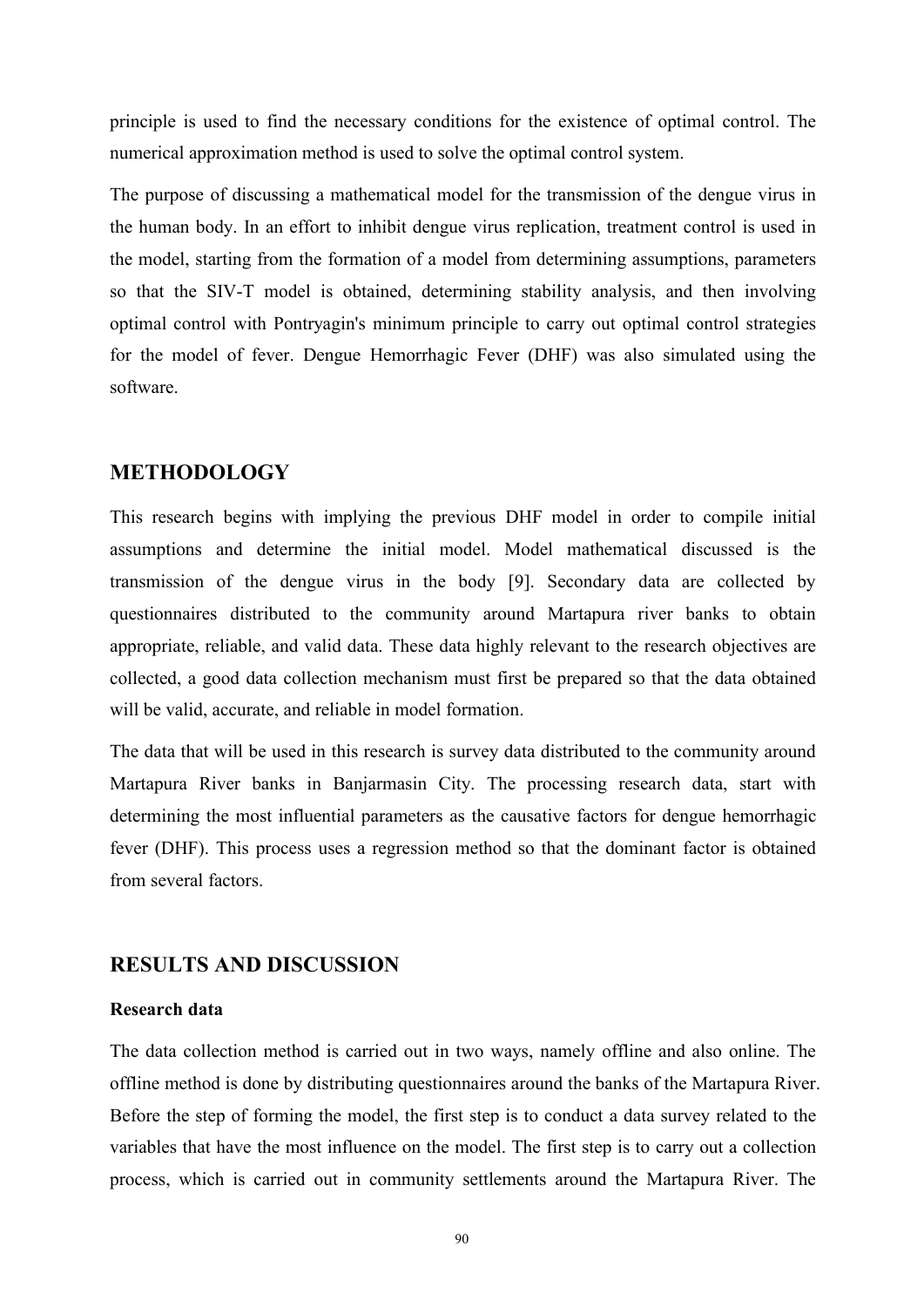principle is used to find the necessary conditions for the existence of optimal control. The numerical approximation method is used to solve the optimal control system.

The purpose of discussing a mathematical model for the transmission of the dengue virus in the human body. In an effort to inhibit dengue virus replication, treatment control is used in the model, starting from the formation of a model from determining assumptions, parameters so that the SIV-T model is obtained, determining stability analysis, and then involving optimal control with Pontryagin's minimum principle to carry out optimal control strategies for the model of fever. Dengue Hemorrhagic Fever (DHF) was also simulated using the software.

# **METHODOLOGY**

This research begins with implying the previous DHF model in order to compile initial assumptions and determine the initial model. Model mathematical discussed is the transmission of the dengue virus in the body [9]. Secondary data are collected by questionnaires distributed to the community around Martapura river banks to obtain appropriate, reliable, and valid data. These data highly relevant to the research objectives are collected, a good data collection mechanism must first be prepared so that the data obtained will be valid, accurate, and reliable in model formation.

The data that will be used in this research is survey data distributed to the community around Martapura River banks in Banjarmasin City. The processing research data, start with determining the most influential parameters as the causative factors for dengue hemorrhagic fever (DHF). This process uses a regression method so that the dominant factor is obtained from several factors.

# **RESULTS AND DISCUSSION**

#### **Research data**

The data collection method is carried out in two ways, namely offline and also online. The offline method is done by distributing questionnaires around the banks of the Martapura River. Before the step of forming the model, the first step is to conduct a data survey related to the variables that have the most influence on the model. The first step is to carry out a collection process, which is carried out in community settlements around the Martapura River. The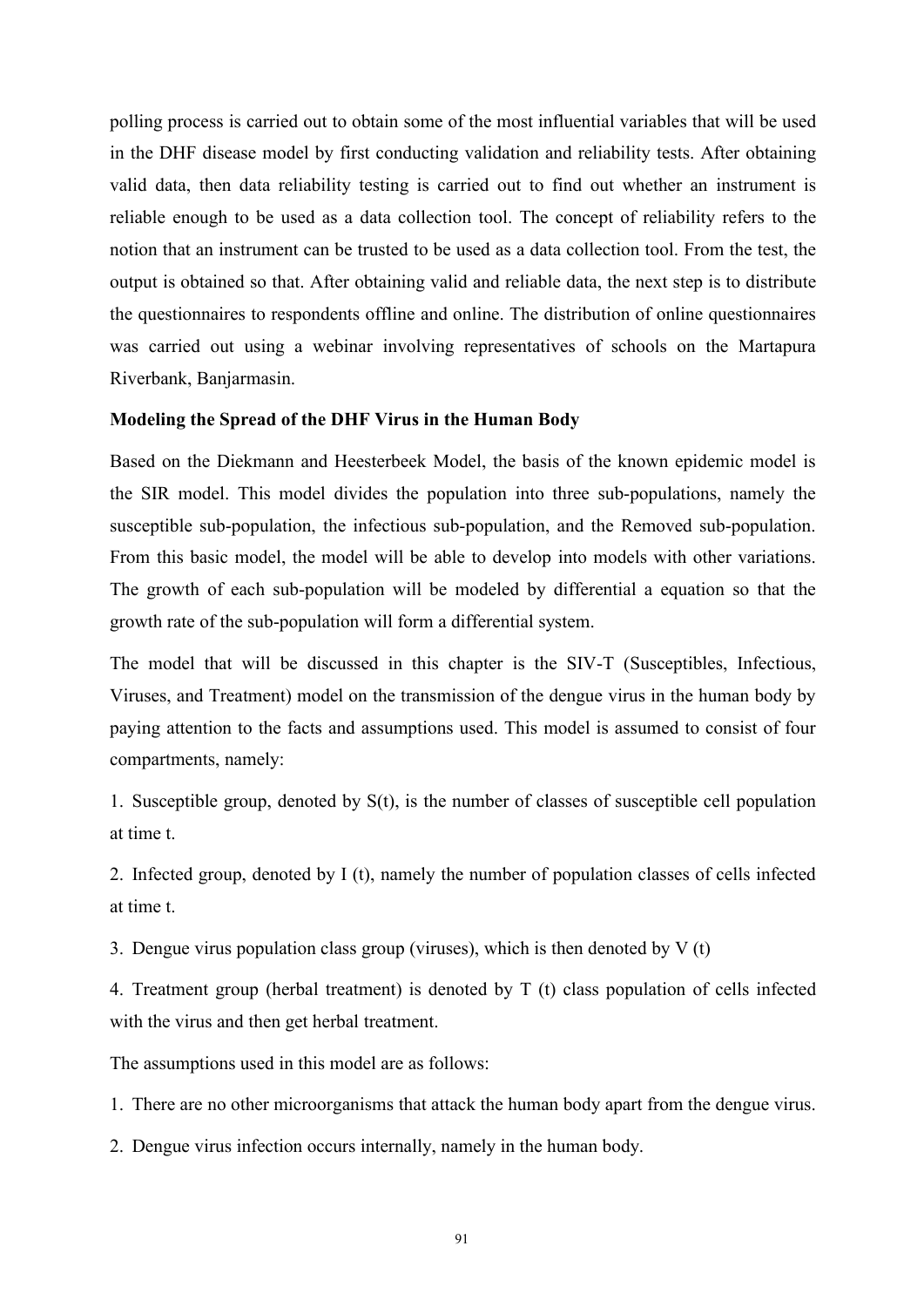polling process is carried out to obtain some of the most influential variables that will be used in the DHF disease model by first conducting validation and reliability tests. After obtaining valid data, then data reliability testing is carried out to find out whether an instrument is reliable enough to be used as a data collection tool. The concept of reliability refers to the notion that an instrument can be trusted to be used as a data collection tool. From the test, the output is obtained so that. After obtaining valid and reliable data, the next step is to distribute the questionnaires to respondents offline and online. The distribution of online questionnaires was carried out using a webinar involving representatives of schools on the Martapura Riverbank, Banjarmasin.

#### **Modeling the Spread of the DHF Virus in the Human Body**

Based on the Diekmann and Heesterbeek Model, the basis of the known epidemic model is the SIR model. This model divides the population into three sub-populations, namely the susceptible sub-population, the infectious sub-population, and the Removed sub-population. From this basic model, the model will be able to develop into models with other variations. The growth of each sub-population will be modeled by differential a equation so that the growth rate of the sub-population will form a differential system.

The model that will be discussed in this chapter is the SIV-T (Susceptibles, Infectious, Viruses, and Treatment) model on the transmission of the dengue virus in the human body by paying attention to the facts and assumptions used. This model is assumed to consist of four compartments, namely:

1. Susceptible group, denoted by  $S(t)$ , is the number of classes of susceptible cell population at time t.

2. Infected group, denoted by I (t), namely the number of population classes of cells infected at time t.

3. Dengue virus population class group (viruses), which is then denoted by  $V(t)$ 

4. Treatment group (herbal treatment) is denoted by T (t) class population of cells infected with the virus and then get herbal treatment.

The assumptions used in this model are as follows:

1. There are no other microorganisms that attack the human body apart from the dengue virus.

2. Dengue virus infection occurs internally, namely in the human body.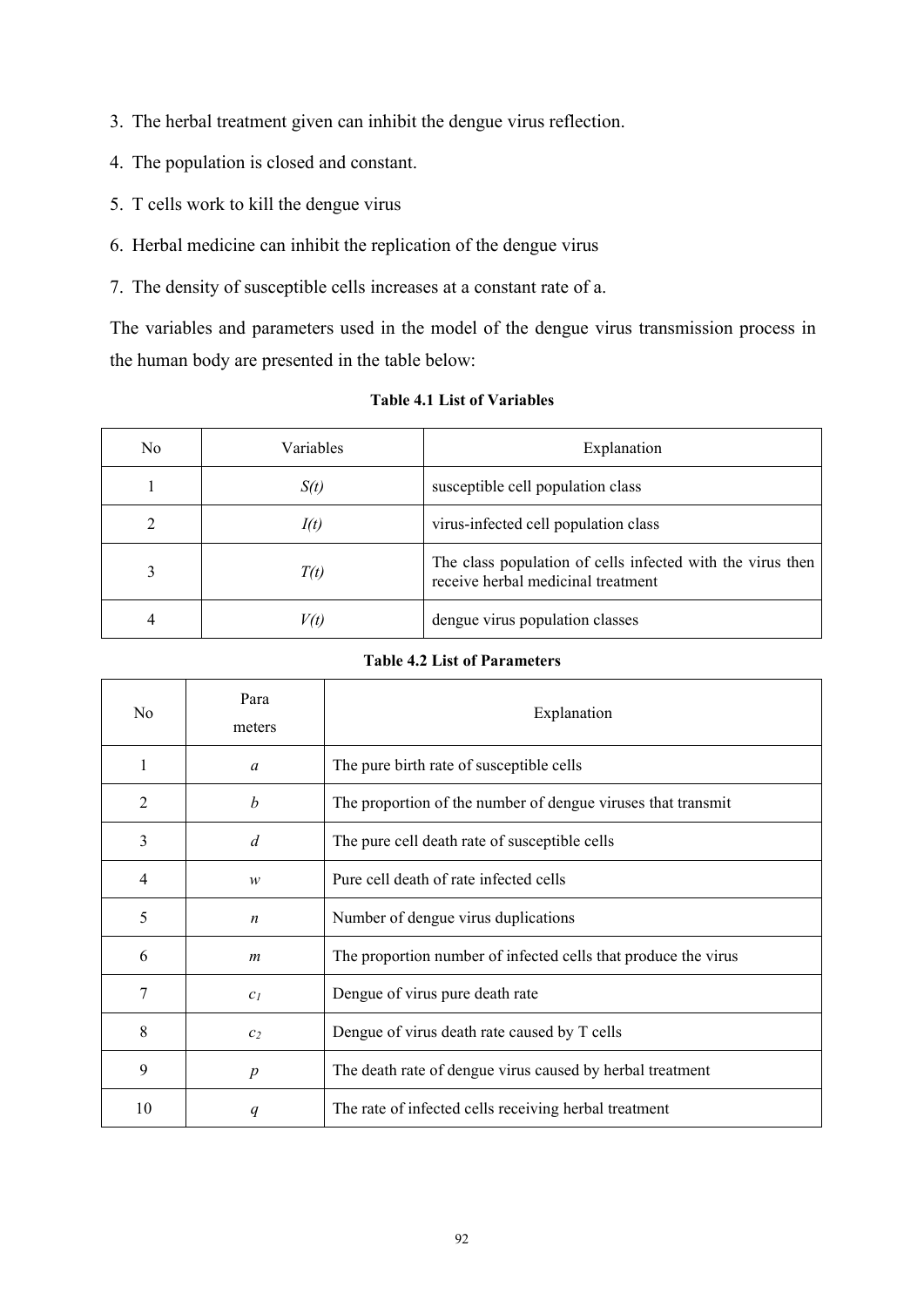- 3. The herbal treatment given can inhibit the dengue virus reflection.
- 4. The population is closed and constant.
- 5. T cells work to kill the dengue virus
- 6. Herbal medicine can inhibit the replication of the dengue virus
- 7. The density of susceptible cells increases at a constant rate of a.

The variables and parameters used in the model of the dengue virus transmission process in the human body are presented in the table below:

| No. | Variables | Explanation                                                                                      |  |
|-----|-----------|--------------------------------------------------------------------------------------------------|--|
|     | S(t)      | susceptible cell population class                                                                |  |
|     | I(t)      | virus-infected cell population class                                                             |  |
|     | T(t)      | The class population of cells infected with the virus then<br>receive herbal medicinal treatment |  |
| 4   | V(t)      | dengue virus population classes                                                                  |  |

#### **Table 4.1 List of Variables**

## **Table 4.2 List of Parameters**

| No | Para<br>meters   | Explanation                                                    |  |
|----|------------------|----------------------------------------------------------------|--|
| 1  | $\alpha$         | The pure birth rate of susceptible cells                       |  |
| 2  | $\boldsymbol{b}$ | The proportion of the number of dengue viruses that transmit   |  |
| 3  | d                | The pure cell death rate of susceptible cells                  |  |
| 4  | w                | Pure cell death of rate infected cells                         |  |
| 5  | $\boldsymbol{n}$ | Number of dengue virus duplications                            |  |
| 6  | m                | The proportion number of infected cells that produce the virus |  |
| 7  | c <sub>1</sub>   | Dengue of virus pure death rate                                |  |
| 8  | c <sub>2</sub>   | Dengue of virus death rate caused by T cells                   |  |
| 9  | $\boldsymbol{p}$ | The death rate of dengue virus caused by herbal treatment      |  |
| 10 | q                | The rate of infected cells receiving herbal treatment          |  |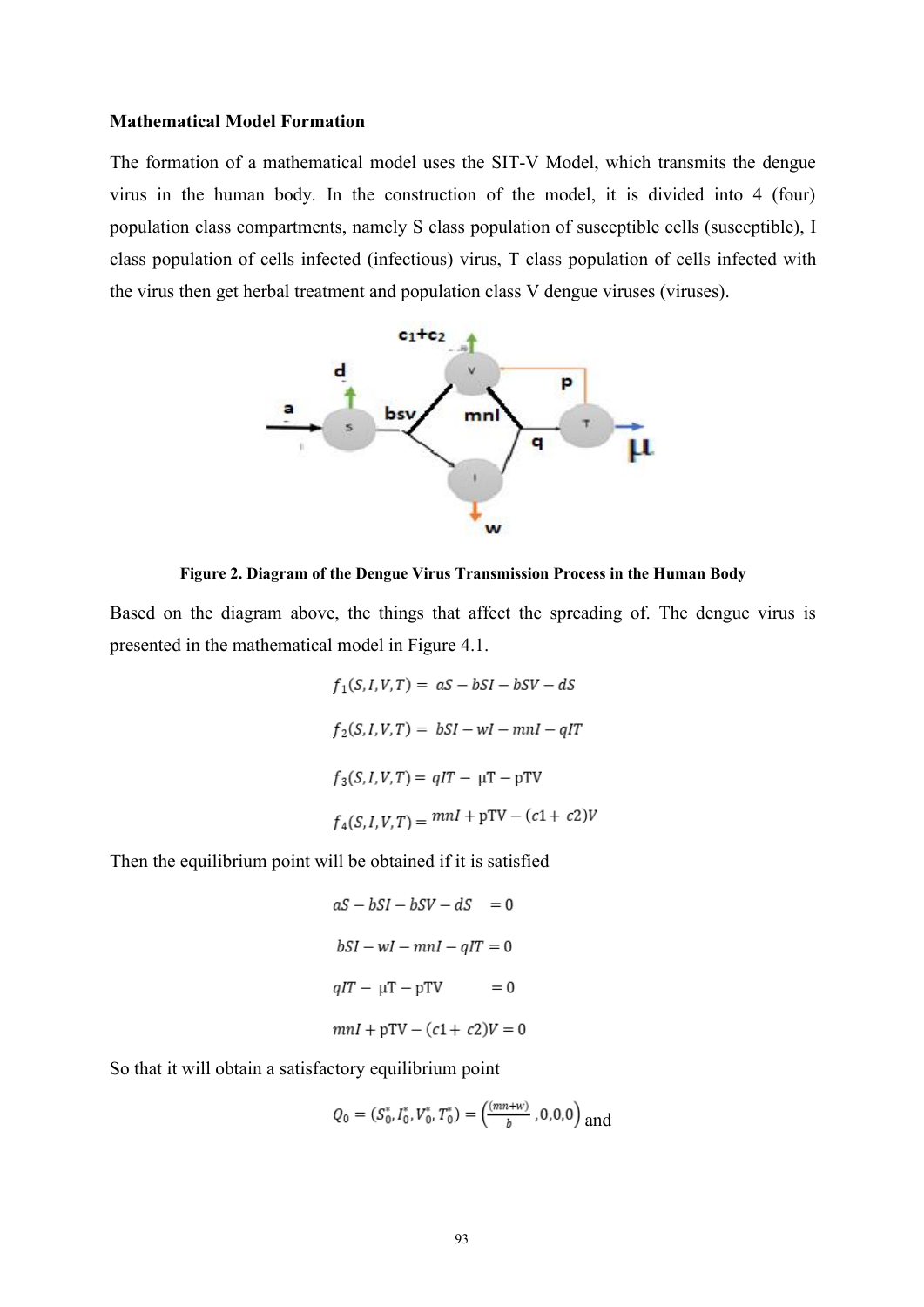#### **Mathematical Model Formation**

The formation of a mathematical model uses the SIT-V Model, which transmits the dengue virus in the human body. In the construction of the model, it is divided into 4 (four) population class compartments, namely S class population of susceptible cells (susceptible), I class population of cells infected (infectious) virus, T class population of cells infected with the virus then get herbal treatment and population class V dengue viruses (viruses).



**Figure 2. Diagram of the Dengue Virus Transmission Process in the Human Body**

Based on the diagram above, the things that affect the spreading of. The dengue virus is presented in the mathematical model in Figure 4.1.

$$
f_1(S, I, V, T) = aS - bSI - bSV - dS
$$
  

$$
f_2(S, I, V, T) = bSI - wI - mnl - qIT
$$
  

$$
f_3(S, I, V, T) = qIT - \mu T - pTV
$$
  

$$
f_4(S, I, V, T) = mnl + pTV - (c1 + c2)V
$$

Then the equilibrium point will be obtained if it is satisfied

$$
aS - bSI - bSV - dS = 0
$$
  

$$
bSI - wI - mnl - qIT = 0
$$
  

$$
qIT - \mu T - pTV = 0
$$
  

$$
mnl + pTV - (c1 + c2)V = 0
$$

So that it will obtain a satisfactory equilibrium point

$$
Q_0 = (S_0^*, I_0^*, V_0^*, T_0^*) = \left(\frac{(mn+w)}{b}, 0, 0, 0\right)
$$
 and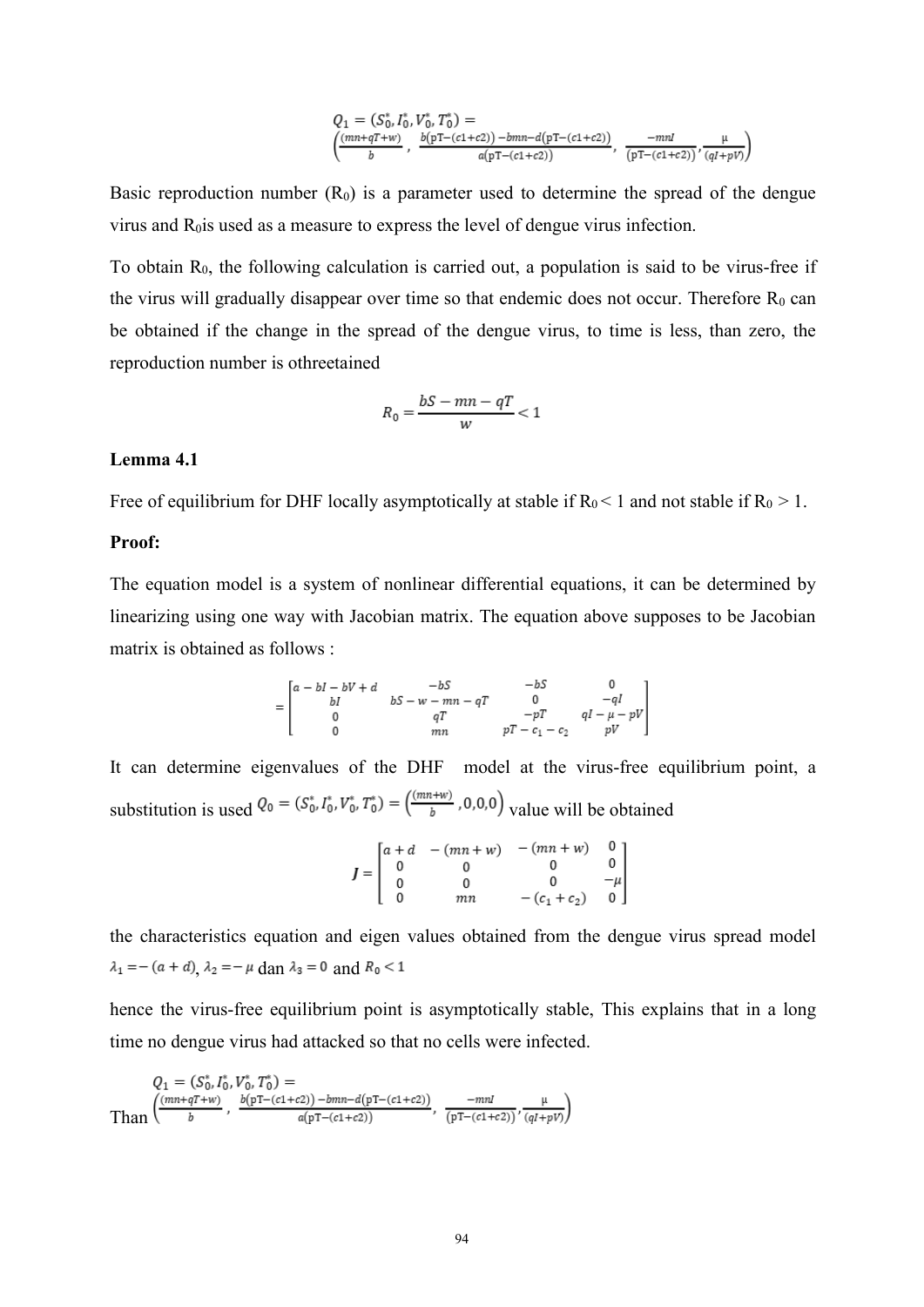$$
Q_1 = (S_0^*, I_0^*, V_0^*, T_0^*) =
$$
  

$$
\left(\frac{(mn+qT+w)}{b}, \frac{b(pT-(c1+c2)) - bmn-d(pT-(c1+c2))}{a(pT-(c1+c2))}, \frac{-mn}{(pT-(c1+c2))}, \frac{\mu}{(qI+pV)}\right)
$$

Basic reproduction number  $(R_0)$  is a parameter used to determine the spread of the dengue virus and  $R<sub>0</sub>$  is used as a measure to express the level of dengue virus infection.

To obtain  $R_0$ , the following calculation is carried out, a population is said to be virus-free if the virus will gradually disappear over time so that endemic does not occur. Therefore  $R_0$  can be obtained if the change in the spread of the dengue virus, to time is less, than zero, the reproduction number is othreetained

$$
R_0 = \frac{bS - mn - qT}{w} < 1
$$

### **Lemma 4.1**

Free of equilibrium for DHF locally asymptotically at stable if  $R_0 < 1$  and not stable if  $R_0 > 1$ .

## **Proof:**

The equation model is a system of nonlinear differential equations, it can be determined by linearizing using one way with Jacobian matrix. The equation above supposes to be Jacobian matrix is obtained as follows :

$$
= \begin{bmatrix} a - bl - bl + d & -bS & -bS & 0 \\ bl & bS - w - mn - qT & 0 & -ql \\ 0 & qT & -pT & qI - \mu - pV \\ 0 & mn & pT - c_1 - c_2 & pV \end{bmatrix}
$$

It can determine eigenvalues of the DHF model at the virus-free equilibrium point, a substitution is used  $Q_0 = (S_0^*, I_0^*, V_0^*, T_0^*) = (\frac{(mn+w)}{b}, 0, 0, 0)$  value will be obtained

| $J=\left[\begin{array}{cc} 0 \\ 0 \\ 0 \end{array}\right]$ |    | $\begin{bmatrix} a+d & -(mn+w) & -(mn+w) \end{bmatrix}$ | $\begin{bmatrix} 0 \\ 0 \\ -\mu \\ 0 \end{bmatrix}$ |
|------------------------------------------------------------|----|---------------------------------------------------------|-----------------------------------------------------|
|                                                            |    |                                                         |                                                     |
|                                                            |    |                                                         |                                                     |
|                                                            | mп | $-(c_1+c_2)$                                            |                                                     |

the characteristics equation and eigen values obtained from the dengue virus spread model  $\lambda_1 = -(a + d), \lambda_2 = -\mu \text{ dan } \lambda_3 = 0 \text{ and } R_0 < 1$ 

hence the virus-free equilibrium point is asymptotically stable, This explains that in a long time no dengue virus had attacked so that no cells were infected.

$$
Q_1 = (S_0^*, I_0^*, V_0^*, T_0^*) = \n\text{Than}\left(\frac{(mn + qT + w)}{b}, \frac{b(pT - (c1 + c2)) - bmn - d(pT - (c1 + c2))}{a(pT - (c1 + c2))}, \frac{-mI}{(pT - (c1 + c2))}, \frac{\mu}{(qI + pV)}\right)
$$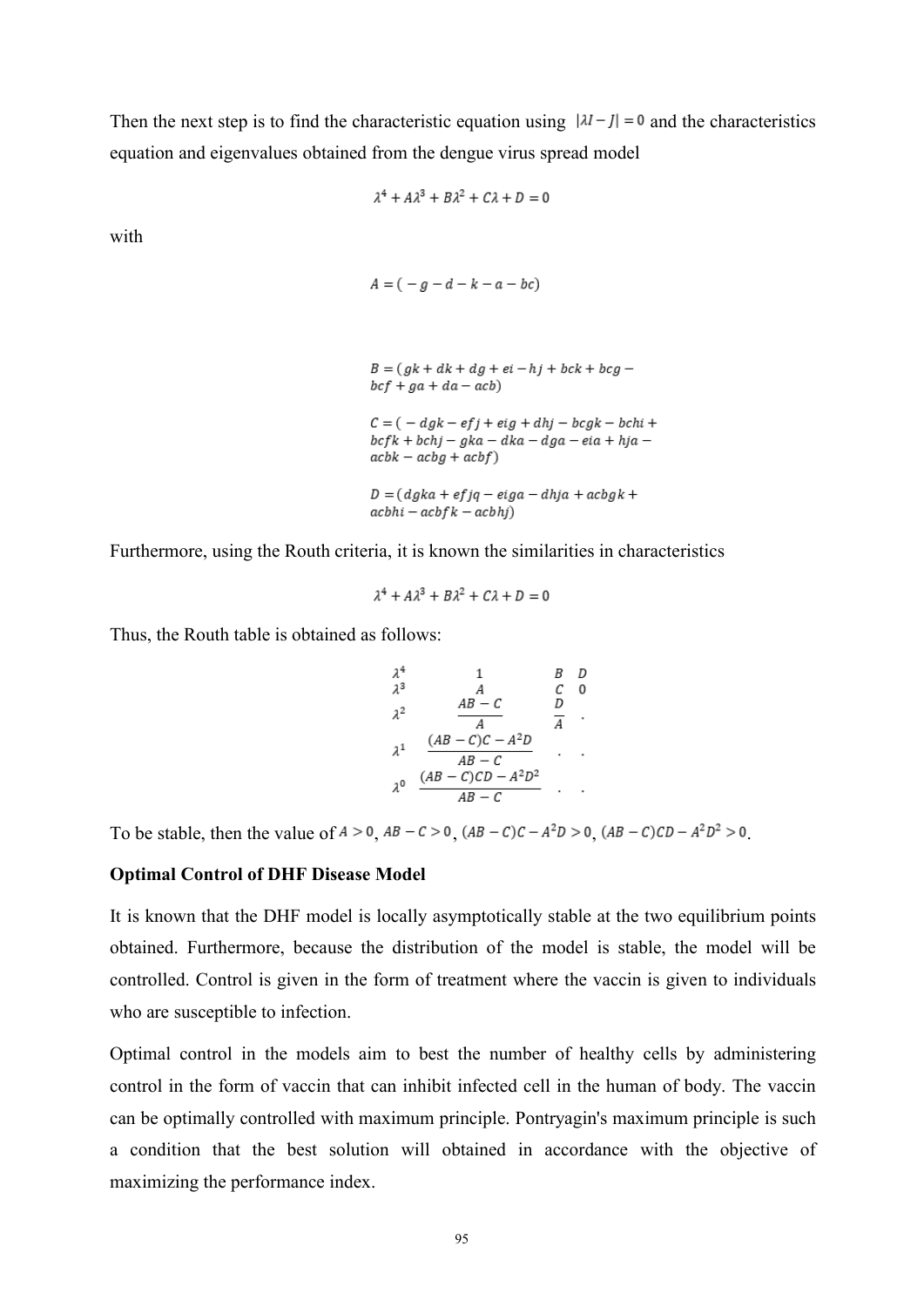Then the next step is to find the characteristic equation using  $|\lambda I - J| = 0$  and the characteristics equation and eigenvalues obtained from the dengue virus spread model

$$
\lambda^4 + A\lambda^3 + B\lambda^2 + C\lambda + D = 0
$$

with

$$
A = (-g - d - k - a - bc)
$$

$$
B = (gk + dk + dg + ei - hj + bck + bcg -
$$
  
bcf + ga + da - acb)

 $C = ( -dgk - efj + eig + dhj - bcgk - bchi +$  $bcfk + bchi - gka - dka - dga - eia + hja$  $ack - acbg + acbf)$ 

 $D = (dgka + efjq - eiga - dhja + acbgk +$  $achhi - acbfk - acbhj)$ 

Furthermore, using the Routh criteria, it is known the similarities in characteristics

$$
\lambda^4 + A\lambda^3 + B\lambda^2 + C\lambda + D = 0
$$

Thus, the Routh table is obtained as follows:

$$
\begin{array}{ccccccccc}\n\lambda^4 & & 1 & & B & D \\
\lambda^3 & & A & & C & 0 \\
\lambda^2 & & \frac{AB - C}{A} & & \frac{D}{A} & \\
\lambda^1 & & \frac{(AB - C)C - A^2D}{AB - C} & & \\
\lambda^0 & & \frac{(AB - C)CD - A^2D^2}{AB - C} & & \\
\end{array}
$$

To be stable, then the value of  $A > 0$ ,  $AB - C > 0$ ,  $(AB - C)C - A^2D > 0$ ,  $(AB - C)CD - A^2D^2 > 0$ .

#### **Optimal Control of DHF Disease Model**

It is known that the DHF model is locally asymptotically stable at the two equilibrium points obtained. Furthermore, because the distribution of the model is stable, the model will be controlled. Control is given in the form of treatment where the vaccin is given to individuals who are susceptible to infection.

Optimal control in the models aim to best the number of healthy cells by administering control in the form of vaccin that can inhibit infected cell in the human of body. The vaccin can be optimally controlled with maximum principle. Pontryagin's maximum principle is such a condition that the best solution will obtained in accordance with the objective of maximizing the performance index.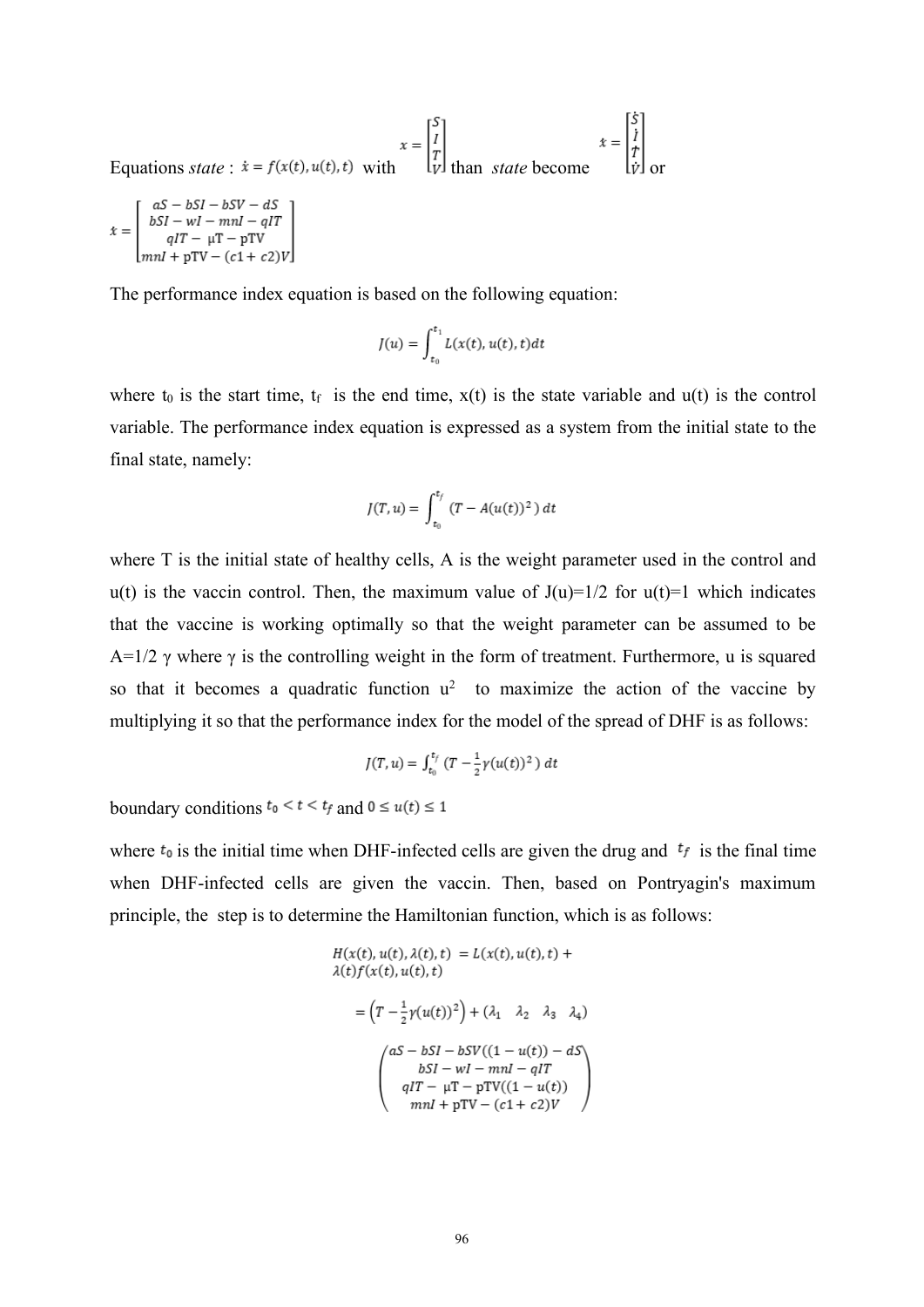Equations *state* :  $\dot{x} = f(x(t), u(t), t)$  with  $\begin{bmatrix} s \\ l \\ r \end{bmatrix}$  than *state* become  $\begin{bmatrix} aS - bSI - bSV - dS \\ bSI - wI - mnl - qIT \\ qIT - \mu T - pTV \\ mnl + pTV - (c1 + c2)V \end{bmatrix}$  $\dot{x} =$ 

The performance index equation is based on the following equation:

$$
J(u) = \int_{t_0}^{t_1} L(x(t), u(t), t) dt
$$

where  $t_0$  is the start time,  $t_f$  is the end time,  $x(t)$  is the state variable and  $u(t)$  is the control variable. The performance index equation is expressed as a system from the initial state to the final state, namely:

$$
J(T, u) = \int_{t_0}^{t_f} (T - A(u(t))^2) dt
$$

where T is the initial state of healthy cells, A is the weight parameter used in the control and  $u(t)$  is the vaccin control. Then, the maximum value of  $J(u)=1/2$  for  $u(t)=1$  which indicates that the vaccine is working optimally so that the weight parameter can be assumed to be A=1/2  $\gamma$  where  $\gamma$  is the controlling weight in the form of treatment. Furthermore, u is squared so that it becomes a quadratic function  $u^2$  to maximize the action of the vaccine by multiplying it so that the performance index for the model of the spread of DHF is as follows:

$$
J(T, u) = \int_{t_0}^{t_f} (T - \frac{1}{2} \gamma(u(t))^2) dt
$$

boundary conditions  $t_0 < t < t_f$  and  $0 \le u(t) \le 1$ 

where  $t_0$  is the initial time when DHF-infected cells are given the drug and  $t_f$  is the final time when DHF-infected cells are given the vaccin. Then, based on Pontryagin's maximum principle, the step is to determine the Hamiltonian function, which is as follows:

$$
H(x(t), u(t), \lambda(t), t) = L(x(t), u(t), t) +
$$
  
\n
$$
\lambda(t)f(x(t), u(t), t)
$$
  
\n
$$
= (T - \frac{1}{2}\gamma(u(t))^2) + (\lambda_1 \quad \lambda_2 \quad \lambda_3 \quad \lambda_4)
$$
  
\n
$$
\begin{pmatrix} aS - bSI - bSV((1 - u(t)) - dS) \\ bSI - wI - m\eta - qIT \\ qIT - \mu T - pTV((1 - u(t)) \\ m\eta I + pTV - (c1 + c2)V \end{pmatrix}
$$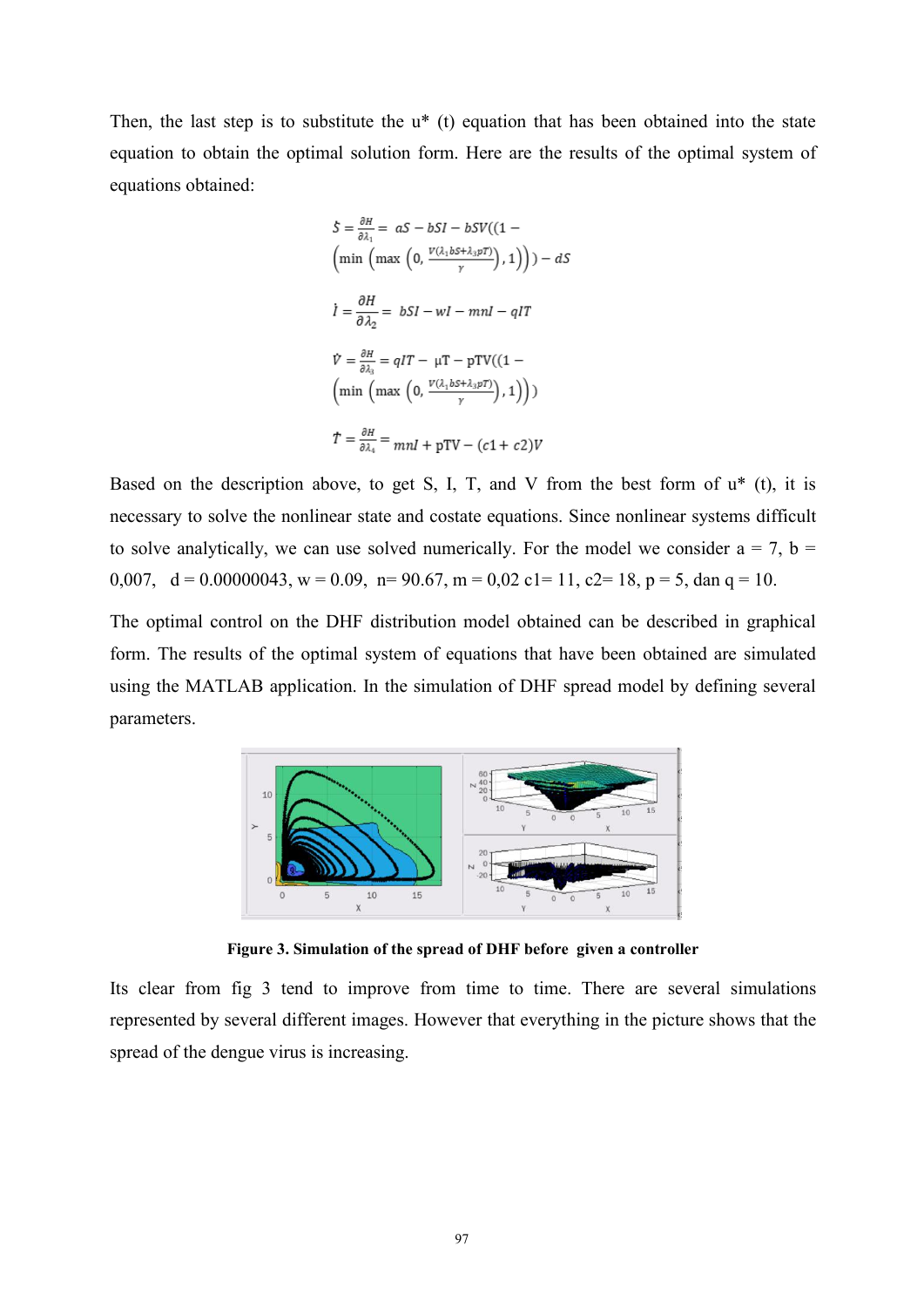Then, the last step is to substitute the  $u^*$  (t) equation that has been obtained into the state equation to obtain the optimal solution form. Here are the results of the optimal system of equations obtained:

$$
S = \frac{\partial H}{\partial \lambda_1} = aS - bSI - bSV((1 -
$$
\n
$$
\left(\min\left(\max\left(0, \frac{V(\lambda_1 bS + \lambda_3 pT)}{y}\right), 1\right)\right) - dS
$$
\n
$$
\dot{I} = \frac{\partial H}{\partial \lambda_2} = bSI - wI - mnl - qIT
$$
\n
$$
\dot{V} = \frac{\partial H}{\partial \lambda_3} = qIT - \mu T - pTV((1 -
$$
\n
$$
\left(\min\left(\max\left(0, \frac{V(\lambda_1 bS + \lambda_3 pT)}{y}\right), 1\right)\right))
$$
\n
$$
T = \frac{\partial H}{\partial \lambda_4} = mnl + pTV - (c1 + c2)V
$$

Based on the description above, to get S, I, T, and V from the best form of  $u^*$  (t), it is necessary to solve the nonlinear state and costate equations. Since nonlinear systems difficult to solve analytically, we can use solved numerically. For the model we consider  $a = 7$ ,  $b =$ 0,007,  $d = 0.00000043$ ,  $w = 0.09$ ,  $n = 90.67$ ,  $m = 0.02$  c1= 11, c2= 18,  $p = 5$ , dan q = 10.

The optimal control on the DHF distribution model obtained can be described in graphical form. The results of the optimal system of equations that have been obtained are simulated using the MATLAB application. In the simulation of DHF spread model by defining several parameters.



**Figure 3. Simulation of the spread of DHF before given a controller**

Its clear from fig 3 tend to improve from time to time. There are several simulations represented by several different images. However that everything in the picture shows that the spread of the dengue virus is increasing.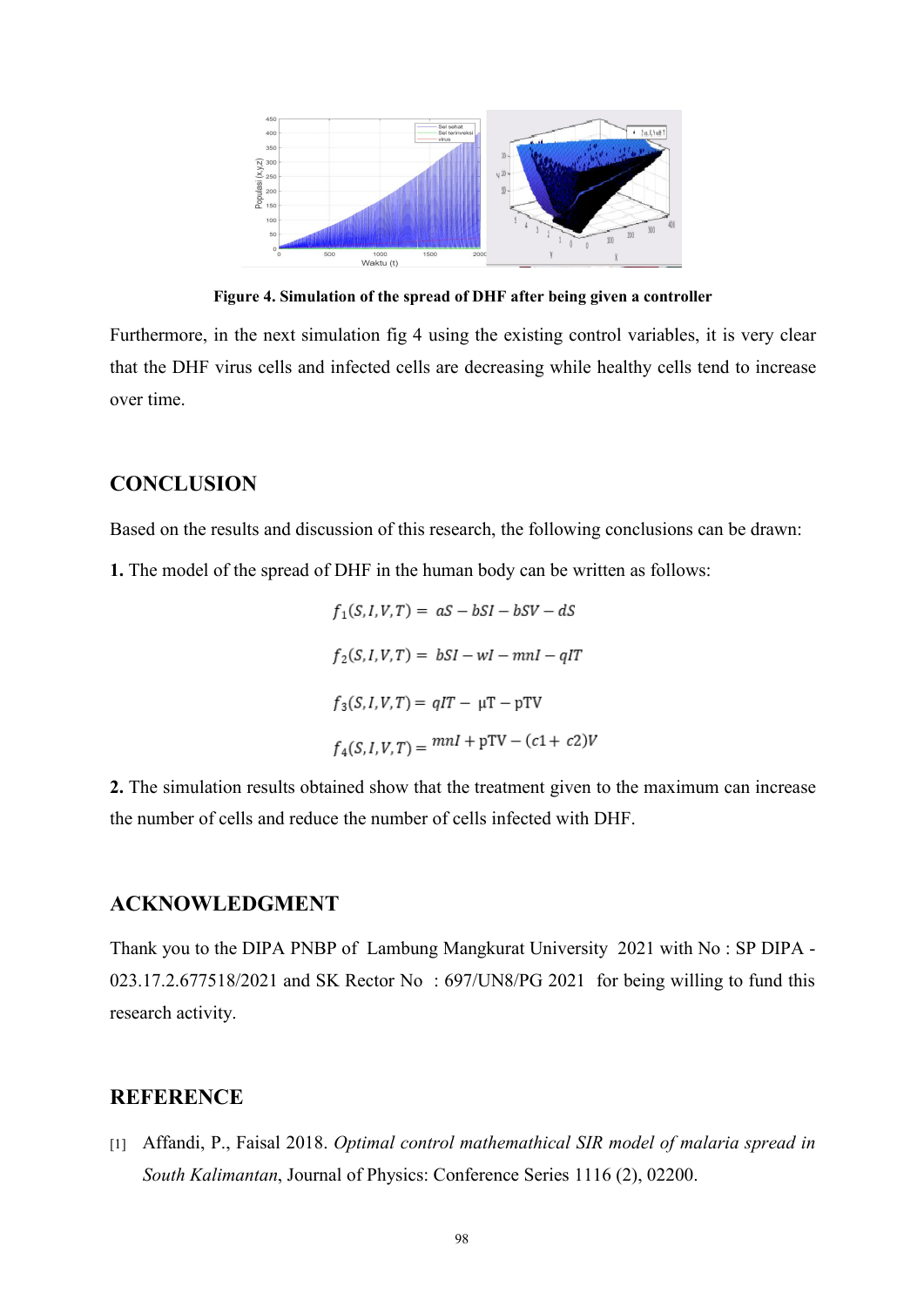

**Figure 4. Simulation of the spread of DHF after being given a controller**

Furthermore, in the next simulation fig 4 using the existing control variables, it is very clear that the DHF virus cells and infected cells are decreasing while healthy cells tend to increase over time.

# **CONCLUSION**

Based on the results and discussion of this research, the following conclusions can be drawn:

**1.** The model of the spread of DHF in the human body can be written as follows:

$$
f_1(S, I, V, T) = aS - bSI - bSV - dS
$$
  

$$
f_2(S, I, V, T) = bSI - wI - mnl - qIT
$$
  

$$
f_3(S, I, V, T) = qIT - \mu T - pTV
$$
  

$$
f_4(S, I, V, T) = mnl + pTV - (c1 + c2)V
$$

**2.** The simulation results obtained show that the treatment given to the maximum can increase the number of cells and reduce the number of cells infected with DHF.

## **ACKNOWLEDGMENT**

Thank you to the DIPA PNBP of Lambung Mangkurat University 2021 with No : SP DIPA - 023.17.2.677518/2021 and SK Rector No : 697/UN8/PG 2021 for being willing to fund this research activity.

# **REFERENCE**

[1] Affandi, P., Faisal 2018. *Optimal control mathemathical SIR model of malaria spread in South Kalimantan*, Journal of Physics: Conference Series 1116 (2), 02200.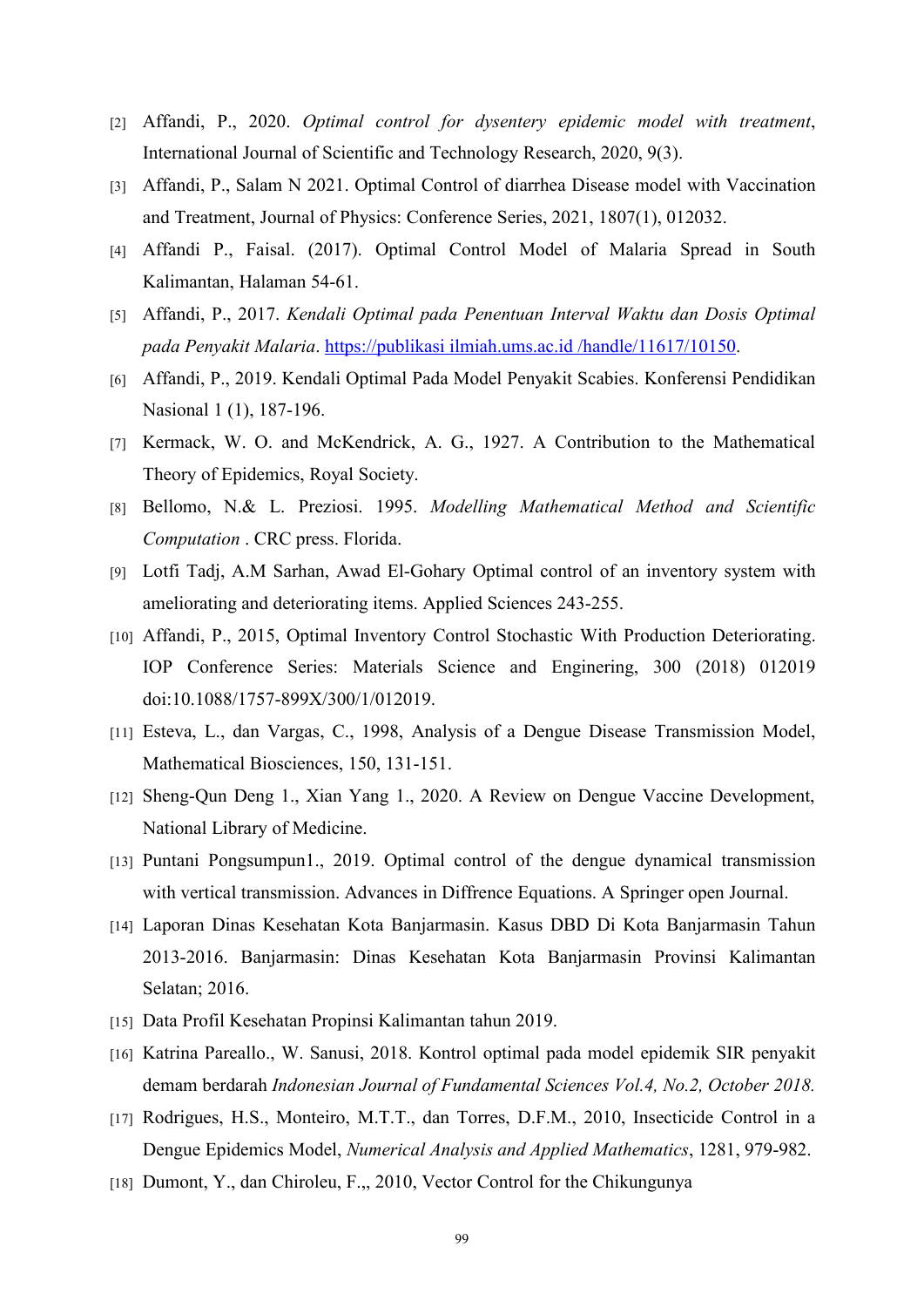- [2] Affandi, P., 2020. *Optimal control for dysentery epidemic modelwith treatment*,International Journal of Scientific and Technology Research, 2020, 9(3).
- [3] Affandi, P., Salam N2021. Optimal Control of diarrhea Disease model with Vaccination and Treatment, Journal of Physics: Conference Series, 2021, 1807(1), 012032.
- [4] Affandi P., Faisal. (2017). Optimal Control Model of Malaria Spread in South Kalimantan, Halaman 54-61.
- [5] Affandi, P., 2017. *Kendali Optimal pada Penentuan Interval Waktu dan Dosis Optimal pada Penyakit Malaria*. https://publikasi ilmiah.ums.ac.id /handle/11617/10150.
- [6] Affandi, P., 2019. Kendali Optimal Pada Model Penyakit Scabies. Konferensi Pendidikan Nasional 1 (1), 187-196.
- [7] Kermack, W. O. and McKendrick, A. G., 1927. A Contribution to the Mathematical Theory of Epidemics, Royal Society.
- [8] Bellomo, N.& L. Preziosi. 1995. *Modelling Mathematical Method and Scientific Computation* . CRC press. Florida.
- [9] Lotfi Tadj, A.M Sarhan, Awad El-Gohary Optimal control of an inventory system with ameliorating and deteriorating items. Applied Sciences 243-255.
- [10] Affandi, P., 2015, Optimal Inventory Control Stochastic With Production Deteriorating. IOP Conference Series: Materials Science and Enginering, 300 (2018) 012019 doi:10.1088/1757-899X/300/1/012019.
- [11] Esteva, L., dan Vargas, C., 1998, Analysis of a Dengue Disease Transmission Model, Mathematical Biosciences, 150, 131-151.
- [12] Sheng-Qun Deng 1., Xian Yang 1., 2020. A Review on Dengue Vaccine Development, National Library of Medicine.
- [13] Puntani Pongsumpun1., 2019. Optimal control of the dengue dynamical transmission with vertical transmission. Advances in Diffrence Equations. A Springer open Journal.
- [14] Laporan Dinas Kesehatan Kota Banjarmasin. Kasus DBD Di Kota Banjarmasin Tahun 2013-2016. Banjarmasin: Dinas Kesehatan Kota Banjarmasin Provinsi Kalimantan Selatan; 2016.
- [15] Data Profil Kesehatan Propinsi Kalimantan tahun 2019.
- [16] Katrina Pareallo., W. Sanusi, 2018. Kontrol optimal pada model epidemik SIR penyakit demam berdarah *Indonesian Journal of Fundamental Sciences Vol.4,No.2, October 2018.*
- [17] Rodrigues, H.S., Monteiro, M.T.T., dan Torres, D.F.M., 2010, Insecticide Control in a Dengue Epidemics Model, *Numerical Analysis and Applied Mathematics*, 1281, 979-982.
- [18] Dumont, Y., dan Chiroleu, F.,, 2010, Vector Control for the Chikungunya